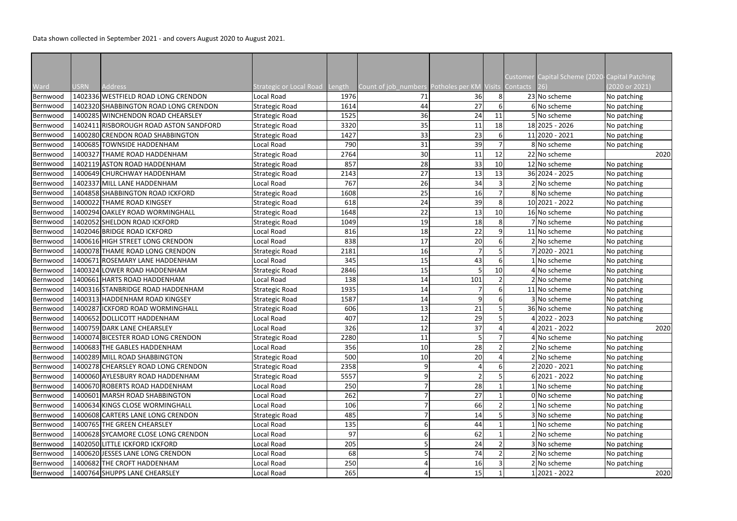Data shown collected in September 2021 - and covers August 2020 to August 2021.

|          |             |                                        |                                       |      |                                                      |     |                | Customer Capital Scheme (2020-Capital Patching |                |
|----------|-------------|----------------------------------------|---------------------------------------|------|------------------------------------------------------|-----|----------------|------------------------------------------------|----------------|
| Ward     | <b>USRN</b> | Address                                | <b>Strategic or Local Road Length</b> |      | Count of job_numbers Potholes per KM Visits Contacts |     |                |                                                | (2020 or 2021) |
| Bernwood |             | 1402336 WESTFIELD ROAD LONG CRENDON    | Local Road                            | 1976 | 71                                                   | 36  | 8 <sup>1</sup> | 23 No scheme                                   | No patching    |
| Bernwood |             | 1402320 SHABBINGTON ROAD LONG CRENDON  | <b>Strategic Road</b>                 | 1614 | 44                                                   | 27  |                | 6 No scheme                                    | No patching    |
| Bernwood |             | 1400285 WINCHENDON ROAD CHEARSLEY      | <b>Strategic Road</b>                 | 1525 | 36                                                   | 24  | 11             | 5 No scheme                                    | No patching    |
| Bernwood |             | 1402411 RISBOROUGH ROAD ASTON SANDFORD | <b>Strategic Road</b>                 | 3320 | 35                                                   | 11  | 18             | 18 2025 - 2026                                 | No patching    |
| Bernwood |             | 1400280 CRENDON ROAD SHABBINGTON       | <b>Strategic Road</b>                 | 1427 | 33                                                   | 23  |                | 11 2020 - 2021                                 | No patching    |
| Bernwood |             | 1400685 TOWNSIDE HADDENHAM             | Local Road                            | 790  | 31                                                   | 39  |                | 8 No scheme                                    | No patching    |
| Bernwood |             | 1400327 THAME ROAD HADDENHAM           | <b>Strategic Road</b>                 | 2764 | 30 <sub>l</sub>                                      | 11  | 12             | 22 No scheme                                   | 2020           |
| Bernwood |             | 1402119 ASTON ROAD HADDENHAM           | <b>Strategic Road</b>                 | 857  | 28                                                   | 33  | 10             | 12 No scheme                                   | No patching    |
| Bernwood |             | 1400649 CHURCHWAY HADDENHAM            | <b>Strategic Road</b>                 | 2143 | 27                                                   | 13  | 13             | 36 2024 - 2025                                 | No patching    |
| Bernwood |             | 1402337 MILL LANE HADDENHAM            | Local Road                            | 767  | 26                                                   | 34  |                | 2 No scheme                                    | No patching    |
| Bernwood |             | 1404858 SHABBINGTON ROAD ICKFORD       | <b>Strategic Road</b>                 | 1608 | 25                                                   | 16  |                | 8 No scheme                                    | No patching    |
| Bernwood |             | 1400022 THAME ROAD KINGSEY             | <b>Strategic Road</b>                 | 618  | 24                                                   | 39  |                | 10 2021 - 2022                                 | No patching    |
| Bernwood |             | 1400294 OAKLEY ROAD WORMINGHALL        | <b>Strategic Road</b>                 | 1648 | 22                                                   | 13  | 10             | 16 No scheme                                   | No patching    |
| Bernwood |             | 1402052 SHELDON ROAD ICKFORD           | Strategic Road                        | 1049 | 19                                                   | 18  |                | 7 No scheme                                    | No patching    |
| Bernwood |             | 1402046 BRIDGE ROAD ICKFORD            | Local Road                            | 816  | 18                                                   | 22  |                | 11 No scheme                                   | No patching    |
| Bernwood |             | 1400616 HIGH STREET LONG CRENDON       | Local Road                            | 838  | 17                                                   | 20  |                | 2 No scheme                                    | No patching    |
| Bernwood |             | 1400078 THAME ROAD LONG CRENDON        | <b>Strategic Road</b>                 | 2181 | 16                                                   |     |                | 7 2020 - 2021                                  | No patching    |
| Bernwood |             | 1400671 ROSEMARY LANE HADDENHAM        | Local Road                            | 345  | 15                                                   | 43  |                | 1 No scheme                                    | No patching    |
| Bernwood |             | 1400324 LOWER ROAD HADDENHAM           | <b>Strategic Road</b>                 | 2846 | 15                                                   |     | 10             | 4 No scheme                                    | No patching    |
| Bernwood |             | 1400661 HARTS ROAD HADDENHAM           | Local Road                            | 138  | 14                                                   | 101 |                | 2 No scheme                                    | No patching    |
| Bernwood |             | 1400316 STANBRIDGE ROAD HADDENHAM      | <b>Strategic Road</b>                 | 1935 | 14                                                   |     |                | 11 No scheme                                   | No patching    |
| Bernwood |             | 1400313 HADDENHAM ROAD KINGSEY         | <b>Strategic Road</b>                 | 1587 | 14                                                   |     |                | 3 No scheme                                    | No patching    |
| Bernwood |             | 1400287 ICKFORD ROAD WORMINGHALL       | <b>Strategic Road</b>                 | 606  | 13                                                   | 21  |                | 36 No scheme                                   | No patching    |
| Bernwood |             | 1400652 DOLLICOTT HADDENHAM            | Local Road                            | 407  | 12                                                   | 29  |                | 4 2022 - 2023                                  | No patching    |
| Bernwood |             | 1400759 DARK LANE CHEARSLEY            | Local Road                            | 326  | 12                                                   | 37  |                | 4 2021 - 2022                                  | 2020           |
| Bernwood |             | 1400074 BICESTER ROAD LONG CRENDON     | <b>Strategic Road</b>                 | 2280 | 11                                                   |     |                | 4 No scheme                                    | No patching    |
| Bernwood |             | 1400683 THE GABLES HADDENHAM           | Local Road                            | 356  | 10                                                   | 28  |                | 2 No scheme                                    | No patching    |
| Bernwood |             | 1400289 MILL ROAD SHABBINGTON          | <b>Strategic Road</b>                 | 500  | 10                                                   | 20  |                | 2 No scheme                                    | No patching    |
| Bernwood |             | 1400278 CHEARSLEY ROAD LONG CRENDON    | <b>Strategic Road</b>                 | 2358 | $\overline{9}$                                       |     |                | 2 2020 - 2021                                  | No patching    |
| Bernwood |             | 1400060 AYLESBURY ROAD HADDENHAM       | <b>Strategic Road</b>                 | 5557 | $\overline{9}$                                       |     |                | $6 2021 - 2022$                                | No patching    |
| Bernwood |             | 1400670 ROBERTS ROAD HADDENHAM         | Local Road                            | 250  | 7                                                    | 28  |                | 1 No scheme                                    | No patching    |
| Bernwood |             | 1400601 MARSH ROAD SHABBINGTON         | Local Road                            | 262  |                                                      | 27  |                | 0 No scheme                                    | No patching    |
| Bernwood |             | 1400634 KINGS CLOSE WORMINGHALL        | Local Road                            | 106  |                                                      | 66  |                | 1 No scheme                                    | No patching    |
| Bernwood |             | 1400608 CARTERS LANE LONG CRENDON      | <b>Strategic Road</b>                 | 485  |                                                      | 14  |                | 3 No scheme                                    | No patching    |
| Bernwood |             | 1400765 THE GREEN CHEARSLEY            | Local Road                            | 135  | $6 \mid$                                             | 44  |                | 1 No scheme                                    | No patching    |
| Bernwood |             | 1400628 SYCAMORE CLOSE LONG CRENDON    | Local Road                            | 97   | $6 \mid$                                             | 62  |                | 2 No scheme                                    | No patching    |
| Bernwood |             | 1402050 LITTLE ICKFORD ICKFORD         | Local Road                            | 205  |                                                      | 24  |                | 3 No scheme                                    | No patching    |
| Bernwood |             | 1400620 JESSES LANE LONG CRENDON       | Local Road                            | 68   |                                                      | 74  |                | 2 No scheme                                    | No patching    |
| Bernwood |             | 1400682 THE CROFT HADDENHAM            | Local Road                            | 250  |                                                      | 16  |                | 2 No scheme                                    | No patching    |
| Bernwood |             | 1400764 SHUPPS LANE CHEARSLEY          | Local Road                            | 265  | 4                                                    | 15  |                | $1 2021 - 2022$                                | 2020           |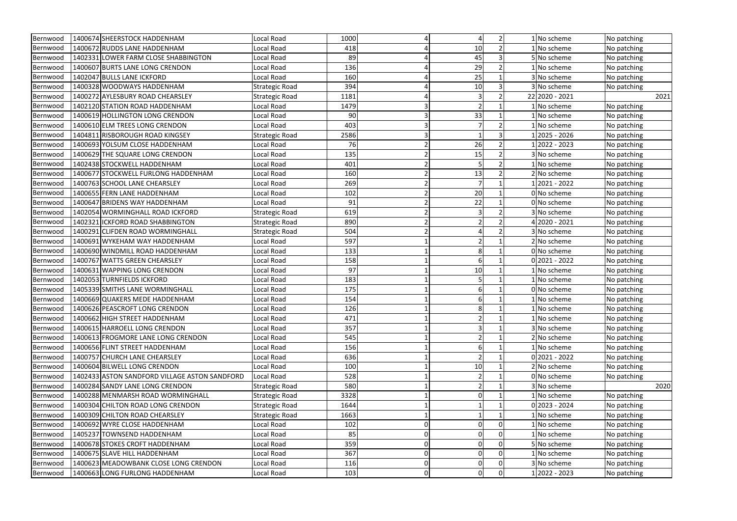| Bernwood | 1400674 SHEERSTOCK HADDENHAM                  | Local Road            | 1000 | $\vert 4 \vert$ |          |  | 1 No scheme     | No patching |
|----------|-----------------------------------------------|-----------------------|------|-----------------|----------|--|-----------------|-------------|
| Bernwood | 1400672 RUDDS LANE HADDENHAM                  | Local Road            | 418  | 4               | $10\,$   |  | 1 No scheme     | No patching |
| Bernwood | 1402331 LOWER FARM CLOSE SHABBINGTON          | Local Road            | 89   |                 | 45       |  | 5 No scheme     | No patching |
| Bernwood | 1400607 BURTS LANE LONG CRENDON               | Local Road            | 136  |                 | 29       |  | 1 No scheme     | No patching |
| Bernwood | 1402047 BULLS LANE ICKFORD                    | Local Road            | 160  |                 | 25       |  | 3 No scheme     | No patching |
| Bernwood | 1400328 WOODWAYS HADDENHAM                    | <b>Strategic Road</b> | 394  |                 | 10       |  | 3 No scheme     | No patching |
| Bernwood | 1400272 AYLESBURY ROAD CHEARSLEY              | <b>Strategic Road</b> | 1181 |                 |          |  | 22 2020 - 2021  | 2021        |
| Bernwood | 1402120 STATION ROAD HADDENHAM                | Local Road            | 1479 |                 |          |  | 1 No scheme     | No patching |
| Bernwood | 1400619 HOLLINGTON LONG CRENDON               | Local Road            | 90   | 3               | 33       |  | 1 No scheme     | No patching |
| Bernwood | 1400610 ELM TREES LONG CRENDON                | Local Road            | 403  | $\overline{3}$  |          |  | 1 No scheme     | No patching |
| Bernwood | 1404811 RISBOROUGH ROAD KINGSEY               | <b>Strategic Road</b> | 2586 | 3               |          |  | 1 2025 - 2026   | No patching |
| Bernwood | 1400693 YOLSUM CLOSE HADDENHAM                | Local Road            | 76   |                 | 26       |  | 12022 - 2023    | No patching |
| Bernwood | 1400629 THE SQUARE LONG CRENDON               | Local Road            | 135  |                 | 15       |  | 3 No scheme     | No patching |
| Bernwood | 1402438 STOCKWELL HADDENHAM                   | Local Road            | 401  |                 |          |  | 1 No scheme     | No patching |
| Bernwood | 1400677 STOCKWELL FURLONG HADDENHAM           | Local Road            | 160  |                 | 13       |  | 2 No scheme     | No patching |
| Bernwood | 1400763 SCHOOL LANE CHEARSLEY                 | Local Road            | 269  |                 |          |  | $1 2021 - 2022$ | No patching |
| Bernwood | 1400655 FERN LANE HADDENHAM                   | Local Road            | 102  |                 | 20       |  | 0 No scheme     | No patching |
| Bernwood | 1400647 BRIDENS WAY HADDENHAM                 | Local Road            | 91   |                 | 22       |  | 0 No scheme     | No patching |
| Bernwood | 1402054 WORMINGHALL ROAD ICKFORD              | <b>Strategic Road</b> | 619  |                 |          |  | 3 No scheme     | No patching |
| Bernwood | 1402321 ICKFORD ROAD SHABBINGTON              | <b>Strategic Road</b> | 890  | $\overline{2}$  |          |  | 4 2020 - 2021   | No patching |
| Bernwood | 1400291 CLIFDEN ROAD WORMINGHALL              | <b>Strategic Road</b> | 504  |                 |          |  | 3 No scheme     | No patching |
| Bernwood | 1400691 WYKEHAM WAY HADDENHAM                 | Local Road            | 597  |                 |          |  | 2 No scheme     | No patching |
| Bernwood | 1400690 WINDMILL ROAD HADDENHAM               | Local Road            | 133  |                 |          |  | 0 No scheme     | No patching |
| Bernwood | 1400767 WATTS GREEN CHEARSLEY                 | Local Road            | 158  |                 |          |  | $0 2021 - 2022$ | No patching |
| Bernwood | 1400631 WAPPING LONG CRENDON                  | Local Road            | 97   |                 | 10       |  | 1 No scheme     | No patching |
| Bernwood | 1402053 TURNFIELDS ICKFORD                    | Local Road            | 183  |                 |          |  | 1 No scheme     | No patching |
| Bernwood | 1405339 SMITHS LANE WORMINGHALL               | Local Road            | 175  |                 |          |  | 0 No scheme     | No patching |
| Bernwood | 1400669 QUAKERS MEDE HADDENHAM                | Local Road            | 154  |                 |          |  | 1 No scheme     | No patching |
| Bernwood | 1400626 PEASCROFT LONG CRENDON                | Local Road            | 126  |                 |          |  | 1 No scheme     | No patching |
| Bernwood | 1400662 HIGH STREET HADDENHAM                 | Local Road            | 471  |                 |          |  | 1 No scheme     | No patching |
| Bernwood | 1400615 HARROELL LONG CRENDON                 | Local Road            | 357  |                 |          |  | 3 No scheme     | No patching |
| Bernwood | 1400613 FROGMORE LANE LONG CRENDON            | Local Road            | 545  |                 |          |  | 2 No scheme     | No patching |
| Bernwood | 1400656 FLINT STREET HADDENHAM                | Local Road            | 156  |                 |          |  | 1 No scheme     | No patching |
| Bernwood | 1400757 CHURCH LANE CHEARSLEY                 | Local Road            | 636  |                 |          |  | $0 2021 - 2022$ | No patching |
| Bernwood | 1400604 BILWELL LONG CRENDON                  | Local Road            | 100  |                 | 10       |  | 2 No scheme     | No patching |
| Bernwood | 1402433 ASTON SANDFORD VILLAGE ASTON SANDFORD | Local Road            | 528  |                 |          |  | 0 No scheme     | No patching |
| Bernwood | 1400284 SANDY LANE LONG CRENDON               | <b>Strategic Road</b> | 580  |                 |          |  | 3 No scheme     | 2020        |
| Bernwood | 1400288 MENMARSH ROAD WORMINGHALL             | <b>Strategic Road</b> | 3328 |                 |          |  | 1 No scheme     | No patching |
| Bernwood | 1400304 CHILTON ROAD LONG CRENDON             | <b>Strategic Road</b> | 1644 |                 |          |  | $0 2023 - 2024$ | No patching |
| Bernwood | 1400309 CHILTON ROAD CHEARSLEY                | <b>Strategic Road</b> | 1663 |                 |          |  | 1 No scheme     | No patching |
| Bernwood | 1400692 WYRE CLOSE HADDENHAM                  | Local Road            | 102  | $\mathbf 0$     |          |  | 1 No scheme     | No patching |
| Bernwood | 1405237 TOWNSEND HADDENHAM                    | Local Road            | 85   | $\mathbf 0$     |          |  | 1 No scheme     | No patching |
| Bernwood | 1400678 STOKES CROFT HADDENHAM                | Local Road            | 359  | 0               |          |  | 5 No scheme     | No patching |
| Bernwood | 1400675 SLAVE HILL HADDENHAM                  | Local Road            | 367  | $\pmb{0}$       |          |  | 1 No scheme     | No patching |
| Bernwood | 1400623 MEADOWBANK CLOSE LONG CRENDON         | Local Road            | 116  | 0               |          |  | 3 No scheme     | No patching |
| Bernwood | 1400663 LONG FURLONG HADDENHAM                | Local Road            | 103  | 0               | $\Omega$ |  | $1 2022 - 2023$ | No patching |